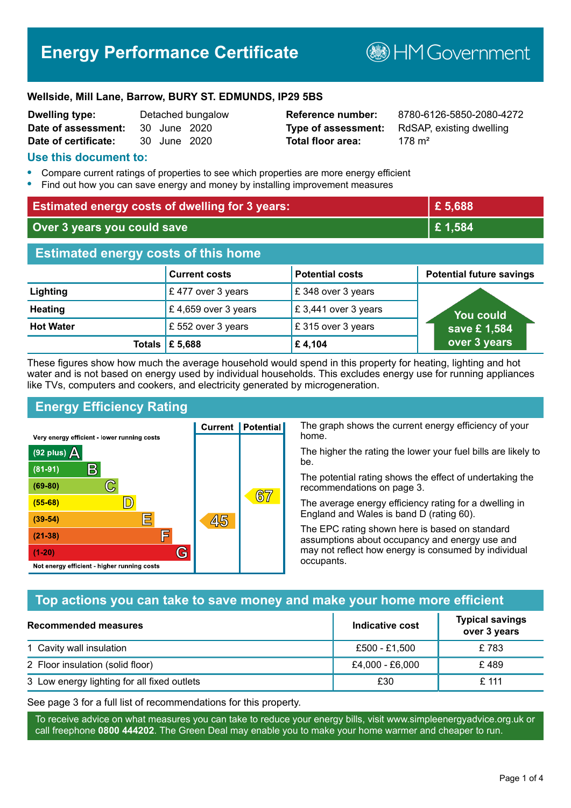# **Energy Performance Certificate**

**B**HM Government

#### **Wellside, Mill Lane, Barrow, BURY ST. EDMUNDS, IP29 5BS**

| <b>Dwelling type:</b> |              | Detached bungalow |
|-----------------------|--------------|-------------------|
| Date of assessment:   | 30 June 2020 |                   |
| Date of certificate:  | 30 June 2020 |                   |

# **Total floor area:** 3178 m<sup>2</sup>

**Reference number:** 8780-6126-5850-2080-4272 **Type of assessment:** RdSAP, existing dwelling

#### **Use this document to:**

- **•** Compare current ratings of properties to see which properties are more energy efficient
- **•** Find out how you can save energy and money by installing improvement measures

| <b>Estimated energy costs of dwelling for 3 years:</b> |                           | £5,688                 |                                 |
|--------------------------------------------------------|---------------------------|------------------------|---------------------------------|
| Over 3 years you could save                            |                           | £1,584                 |                                 |
| <b>Estimated energy costs of this home</b>             |                           |                        |                                 |
|                                                        | <b>Current costs</b>      | <b>Potential costs</b> | <b>Potential future savings</b> |
| Lighting                                               | £477 over 3 years         | £348 over 3 years      |                                 |
| <b>Heating</b>                                         | £4,659 over 3 years       | £3,441 over 3 years    | <b>You could</b>                |
| <b>Hot Water</b>                                       | £ 552 over 3 years        | £315 over 3 years      | save £1,584                     |
|                                                        | Totals $\mathsf{E}$ 5,688 | £4,104                 | over 3 years                    |

These figures show how much the average household would spend in this property for heating, lighting and hot water and is not based on energy used by individual households. This excludes energy use for running appliances like TVs, computers and cookers, and electricity generated by microgeneration.

**Current | Potential** 

45

# **Energy Efficiency Rating**

 $\mathbb{C}$ 

 $\mathbb{D}$ 

巨

庐

G

Very energy efficient - lower running costs

 $\mathsf{R}% _{T}$ 

Not energy efficient - higher running costs

 $(92$  plus)

 $(81 - 91)$  $(69 - 80)$ 

 $(55-68)$ 

 $(39 - 54)$ 

 $(21-38)$ 

 $(1-20)$ 

- 70

The graph shows the current energy efficiency of your home.

The higher the rating the lower your fuel bills are likely to be.

The potential rating shows the effect of undertaking the recommendations on page 3.

The average energy efficiency rating for a dwelling in England and Wales is band D (rating 60).

The EPC rating shown here is based on standard assumptions about occupancy and energy use and may not reflect how energy is consumed by individual occupants.

# **Top actions you can take to save money and make your home more efficient**

 $67$ 

| Recommended measures                        | Indicative cost | <b>Typical savings</b><br>over 3 years |
|---------------------------------------------|-----------------|----------------------------------------|
| 1 Cavity wall insulation                    | £500 - £1,500   | £783                                   |
| 2 Floor insulation (solid floor)            | £4,000 - £6,000 | £489                                   |
| 3 Low energy lighting for all fixed outlets | £30             | $£$ 111                                |

See page 3 for a full list of recommendations for this property.

To receive advice on what measures you can take to reduce your energy bills, visit www.simpleenergyadvice.org.uk or call freephone **0800 444202**. The Green Deal may enable you to make your home warmer and cheaper to run.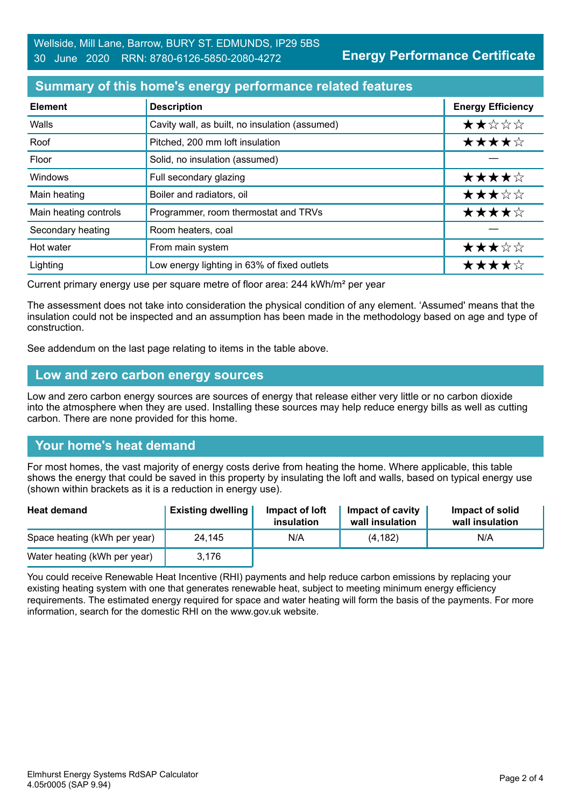# **Summary of this home's energy performance related features**

| <b>Element</b>        | <b>Description</b>                             | <b>Energy Efficiency</b> |
|-----------------------|------------------------------------------------|--------------------------|
| Walls                 | Cavity wall, as built, no insulation (assumed) | ★★☆☆☆                    |
| Roof                  | Pitched, 200 mm loft insulation                | ★★★★☆                    |
| Floor                 | Solid, no insulation (assumed)                 |                          |
| Windows               | Full secondary glazing                         | ★★★★☆                    |
| Main heating          | Boiler and radiators, oil                      | ★★★☆☆                    |
| Main heating controls | Programmer, room thermostat and TRVs           | ★★★★☆                    |
| Secondary heating     | Room heaters, coal                             |                          |
| Hot water             | From main system                               | ★★★☆☆                    |
| Lighting              | Low energy lighting in 63% of fixed outlets    | ★★★★☆                    |

Current primary energy use per square metre of floor area: 244 kWh/m² per year

The assessment does not take into consideration the physical condition of any element. 'Assumed' means that the insulation could not be inspected and an assumption has been made in the methodology based on age and type of construction.

See addendum on the last page relating to items in the table above.

#### **Low and zero carbon energy sources**

Low and zero carbon energy sources are sources of energy that release either very little or no carbon dioxide into the atmosphere when they are used. Installing these sources may help reduce energy bills as well as cutting carbon. There are none provided for this home.

# **Your home's heat demand**

For most homes, the vast majority of energy costs derive from heating the home. Where applicable, this table shows the energy that could be saved in this property by insulating the loft and walls, based on typical energy use (shown within brackets as it is a reduction in energy use).

| <b>Heat demand</b>           | <b>Existing dwelling</b> | Impact of loft<br>insulation | Impact of cavity<br>wall insulation | Impact of solid<br>wall insulation |
|------------------------------|--------------------------|------------------------------|-------------------------------------|------------------------------------|
| Space heating (kWh per year) | 24,145                   | N/A                          | (4, 182)                            | N/A                                |
| Water heating (kWh per year) | 3.176                    |                              |                                     |                                    |

You could receive Renewable Heat Incentive (RHI) payments and help reduce carbon emissions by replacing your existing heating system with one that generates renewable heat, subject to meeting minimum energy efficiency requirements. The estimated energy required for space and water heating will form the basis of the payments. For more information, search for the domestic RHI on the www.gov.uk website.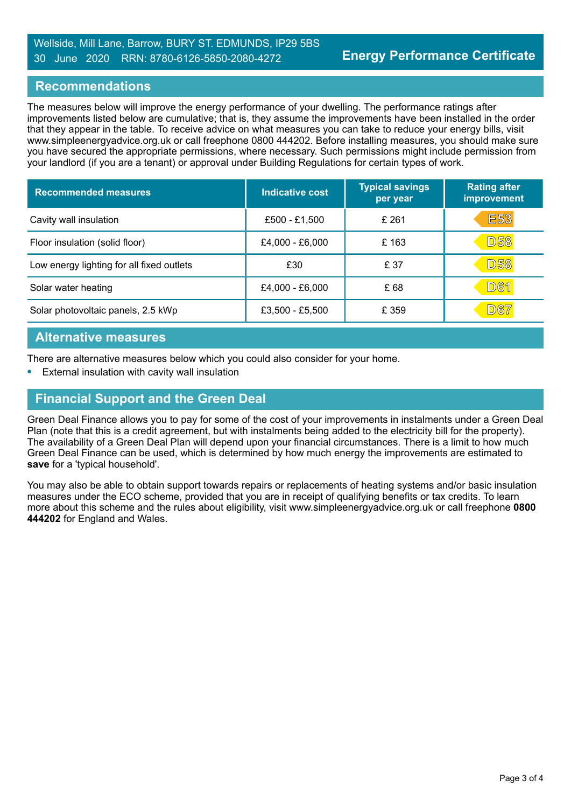#### Wellside, Mill Lane, Barrow, BURY ST. EDMUNDS, IP29 5BS 30 June 2020 RRN: 8780-6126-5850-2080-4272

#### **Recommendations**

The measures below will improve the energy performance of your dwelling. The performance ratings after improvements listed below are cumulative; that is, they assume the improvements have been installed in the order that they appear in the table. To receive advice on what measures you can take to reduce your energy bills, visit www.simpleenergyadvice.org.uk or call freephone 0800 444202. Before installing measures, you should make sure you have secured the appropriate permissions, where necessary. Such permissions might include permission from your landlord (if you are a tenant) or approval under Building Regulations for certain types of work.

| <b>Recommended measures</b>               | Indicative cost | <b>Typical savings</b><br>per year | <b>Rating after</b><br>improvement |
|-------------------------------------------|-----------------|------------------------------------|------------------------------------|
| Cavity wall insulation                    | £500 - £1,500   | £ 261                              | <b>E53</b>                         |
| Floor insulation (solid floor)            | £4,000 - £6,000 | £163                               | <b>D58</b>                         |
| Low energy lighting for all fixed outlets | £30             | £ 37                               | <b>D58</b>                         |
| Solar water heating                       | £4,000 - £6,000 | £68                                | <b>D61</b>                         |
| Solar photovoltaic panels, 2.5 kWp        | £3,500 - £5,500 | £ 359                              | <b>D67</b>                         |

#### **Alternative measures**

There are alternative measures below which you could also consider for your home.

**•** External insulation with cavity wall insulation

# **Financial Support and the Green Deal**

Green Deal Finance allows you to pay for some of the cost of your improvements in instalments under a Green Deal Plan (note that this is a credit agreement, but with instalments being added to the electricity bill for the property). The availability of a Green Deal Plan will depend upon your financial circumstances. There is a limit to how much Green Deal Finance can be used, which is determined by how much energy the improvements are estimated to **save** for a 'typical household'.

You may also be able to obtain support towards repairs or replacements of heating systems and/or basic insulation measures under the ECO scheme, provided that you are in receipt of qualifying benefits or tax credits. To learn more about this scheme and the rules about eligibility, visit www.simpleenergyadvice.org.uk or call freephone **0800 444202** for England and Wales.